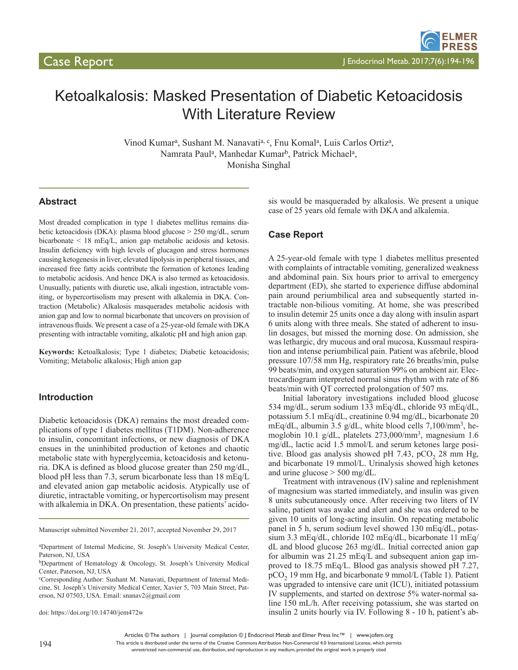# Ketoalkalosis: Masked Presentation of Diabetic Ketoacidosis With Literature Review

Vinod Kumar<sup>a</sup>, Sushant M. Nanavati<sup>a, c</sup>, Fnu Komal<sup>a</sup>, Luis Carlos Ortiz<sup>a</sup>, Namrata Paul<sup>a</sup>, Manhedar Kumar<sup>b</sup>, Patrick Michael<sup>a</sup>, Monisha Singhal

## **Abstract**

Most dreaded complication in type 1 diabetes mellitus remains diabetic ketoacidosis (DKA): plasma blood glucose > 250 mg/dL, serum bicarbonate < 18 mEq/L, anion gap metabolic acidosis and ketosis. Insulin deficiency with high levels of glucagon and stress hormones causing ketogenesis in liver, elevated lipolysis in peripheral tissues, and increased free fatty acids contribute the formation of ketones leading to metabolic acidosis. And hence DKA is also termed as ketoacidosis. Unusually, patients with diuretic use, alkali ingestion, intractable vomiting, or hypercortisolism may present with alkalemia in DKA. Contraction (Metabolic) Alkalosis masquerades metabolic acidosis with anion gap and low to normal bicarbonate that uncovers on provision of intravenous fluids. We present a case of a 25-year-old female with DKA presenting with intractable vomiting, alkalotic pH and high anion gap.

**Keywords:** Ketoalkalosis; Type 1 diabetes; Diabetic ketoacidosis; Vomiting; Metabolic alkalosis; High anion gap

## **Introduction**

Diabetic ketoacidosis (DKA) remains the most dreaded complications of type 1 diabetes mellitus (T1DM). Non-adherence to insulin, concomitant infections, or new diagnosis of DKA ensues in the uninhibited production of ketones and chaotic metabolic state with hyperglycemia, ketoacidosis and ketonuria. DKA is defined as blood glucose greater than 250 mg/dL, blood pH less than 7.3, serum bicarbonate less than 18 mEq/L and elevated anion gap metabolic acidosis. Atypically use of diuretic, intractable vomiting, or hypercortisolism may present with alkalemia in DKA. On presentation, these patients' acido-

Manuscript submitted November 21, 2017, accepted November 29, 2017

doi: https://doi.org/10.14740/jem472w

sis would be masqueraded by alkalosis. We present a unique case of 25 years old female with DKA and alkalemia.

## **Case Report**

A 25-year-old female with type 1 diabetes mellitus presented with complaints of intractable vomiting, generalized weakness and abdominal pain. Six hours prior to arrival to emergency department (ED), she started to experience diffuse abdominal pain around periumbilical area and subsequently started intractable non-bilious vomiting. At home, she was prescribed to insulin detemir 25 units once a day along with insulin aspart 6 units along with three meals. She stated of adherent to insulin dosages, but missed the morning dose. On admission, she was lethargic, dry mucous and oral mucosa, Kussmaul respiration and intense periumbilical pain. Patient was afebrile, blood pressure 107/58 mm Hg, respiratory rate 26 breaths/min, pulse 99 beats/min, and oxygen saturation 99% on ambient air. Electrocardiogram interpreted normal sinus rhythm with rate of 86 beats/min with QT corrected prolongation of 507 ms.

Initial laboratory investigations included blood glucose 534 mg/dL, serum sodium 133 mEq/dL, chloride 93 mEq/dL, potassium 5.1 mEq/dL, creatinine 0.94 mg/dL, bicarbonate 20 mEq/dL, albumin 3.5 g/dL, white blood cells  $7,100/\text{mm}^3$ , hemoglobin 10.1 g/dL, platelets 273,000/mm3, magnesium 1.6 mg/dL, lactic acid 1.5 mmol/L and serum ketones large positive. Blood gas analysis showed pH  $7.43$ , pCO<sub>2</sub> 28 mm Hg, and bicarbonate 19 mmol/L. Urinalysis showed high ketones and urine glucose  $> 500$  mg/dL.

Treatment with intravenous (IV) saline and replenishment of magnesium was started immediately, and insulin was given 8 units subcutaneously once. After receiving two liters of IV saline, patient was awake and alert and she was ordered to be given 10 units of long-acting insulin. On repeating metabolic panel in 5 h, serum sodium level showed 130 mEq/dL, potassium 3.3 mEq/dL, chloride 102 mEq/dL, bicarbonate 11 mEq/ dL and blood glucose 263 mg/dL. Initial corrected anion gap for albumin was 21.25 mEq/L and subsequent anion gap improved to 18.75 mEq/L. Blood gas analysis showed pH 7.27,  $pCO<sub>2</sub>$  19 mm Hg, and bicarbonate 9 mmol/L (Table 1). Patient was upgraded to intensive care unit (ICU), initiated potassium IV supplements, and started on dextrose 5% water-normal saline 150 mL/h. After receiving potassium, she was started on insulin 2 units hourly via IV. Following 8 - 10 h, patient's ab-

This article is distributed under the terms of the Creative Commons Attribution Non-Commercial 4.0 International License, which permits unrestricted non-commercial use, distribution, and reproduction in any medium, provided the original work is properly cited

a Department of Internal Medicine, St. Joseph's University Medical Center, Paterson, NJ, USA

<sup>b</sup>Department of Hematology & Oncology, St. Joseph's University Medical Center, Paterson, NJ, USA

c Corresponding Author: Sushant M. Nanavati, Department of Internal Medicine, St. Joseph's University Medical Center, Xavier 5, 703 Main Street, Paterson, NJ 07503, USA. Email: snanav2@gmail.com

Articles © The authors | Journal compilation © J Endocrinol Metab and Elmer Press Inc™ | www.jofem.org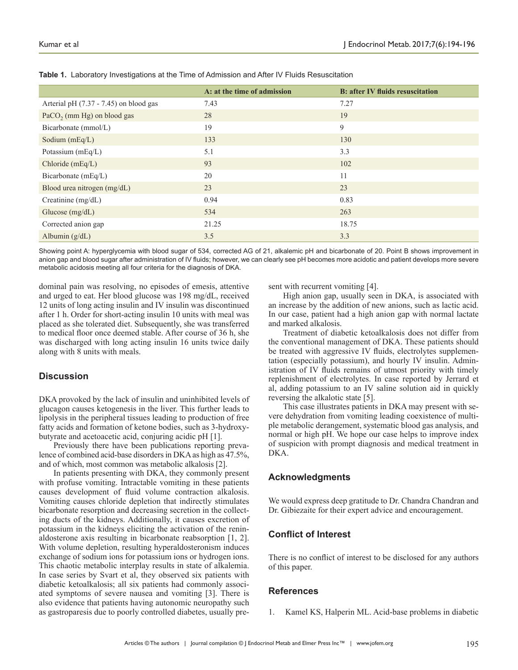|                                          | A: at the time of admission | <b>B: after IV fluids resuscitation</b> |
|------------------------------------------|-----------------------------|-----------------------------------------|
| Arterial pH $(7.37 - 7.45)$ on blood gas | 7.43                        | 7.27                                    |
| PaCO <sub>2</sub> (mm Hg) on blood gas   | 28                          | 19                                      |
| Bicarbonate (mmol/L)                     | 19                          | 9                                       |
| Sodium $(mEq/L)$                         | 133                         | 130                                     |
| Potassium (mEq/L)                        | 5.1                         | 3.3                                     |
| Chloride $(mEq/L)$                       | 93                          | 102                                     |
| Bicarbonate (mEq/L)                      | 20                          | 11                                      |
| Blood urea nitrogen (mg/dL)              | 23                          | 23                                      |
| Creatinine (mg/dL)                       | 0.94                        | 0.83                                    |
| Glucose (mg/dL)                          | 534                         | 263                                     |
| Corrected anion gap                      | 21.25                       | 18.75                                   |
| Albumin $(g/dL)$                         | 3.5                         | 3.3                                     |

**Table 1.** Laboratory Investigations at the Time of Admission and After IV Fluids Resuscitation

Showing point A: hyperglycemia with blood sugar of 534, corrected AG of 21, alkalemic pH and bicarbonate of 20. Point B shows improvement in anion gap and blood sugar after administration of IV fluids; however, we can clearly see pH becomes more acidotic and patient develops more severe metabolic acidosis meeting all four criteria for the diagnosis of DKA.

dominal pain was resolving, no episodes of emesis, attentive and urged to eat. Her blood glucose was 198 mg/dL, received 12 units of long acting insulin and IV insulin was discontinued after 1 h. Order for short-acting insulin 10 units with meal was placed as she tolerated diet. Subsequently, she was transferred to medical floor once deemed stable. After course of 36 h, she was discharged with long acting insulin 16 units twice daily along with 8 units with meals.

# **Discussion**

DKA provoked by the lack of insulin and uninhibited levels of glucagon causes ketogenesis in the liver. This further leads to lipolysis in the peripheral tissues leading to production of free fatty acids and formation of ketone bodies, such as 3-hydroxybutyrate and acetoacetic acid, conjuring acidic pH [1].

Previously there have been publications reporting prevalence of combined acid-base disorders in DKA as high as 47.5%, and of which, most common was metabolic alkalosis [2].

In patients presenting with DKA, they commonly present with profuse vomiting. Intractable vomiting in these patients causes development of fluid volume contraction alkalosis. Vomiting causes chloride depletion that indirectly stimulates bicarbonate resorption and decreasing secretion in the collecting ducts of the kidneys. Additionally, it causes excretion of potassium in the kidneys eliciting the activation of the reninaldosterone axis resulting in bicarbonate reabsorption [1, 2]. With volume depletion, resulting hyperaldosteronism induces exchange of sodium ions for potassium ions or hydrogen ions. This chaotic metabolic interplay results in state of alkalemia. In case series by Svart et al, they observed six patients with diabetic ketoalkalosis; all six patients had commonly associated symptoms of severe nausea and vomiting [3]. There is also evidence that patients having autonomic neuropathy such as gastroparesis due to poorly controlled diabetes, usually present with recurrent vomiting [4].

High anion gap, usually seen in DKA, is associated with an increase by the addition of new anions, such as lactic acid. In our case, patient had a high anion gap with normal lactate and marked alkalosis.

Treatment of diabetic ketoalkalosis does not differ from the conventional management of DKA. These patients should be treated with aggressive IV fluids, electrolytes supplementation (especially potassium), and hourly IV insulin. Administration of IV fluids remains of utmost priority with timely replenishment of electrolytes. In case reported by Jerrard et al, adding potassium to an IV saline solution aid in quickly reversing the alkalotic state [5].

This case illustrates patients in DKA may present with severe dehydration from vomiting leading coexistence of multiple metabolic derangement, systematic blood gas analysis, and normal or high pH. We hope our case helps to improve index of suspicion with prompt diagnosis and medical treatment in DKA.

## **Acknowledgments**

We would express deep gratitude to Dr. Chandra Chandran and Dr. Gibiezaite for their expert advice and encouragement.

# **Conflict of Interest**

There is no conflict of interest to be disclosed for any authors of this paper.

## **References**

1. Kamel KS, Halperin ML. Acid-base problems in diabetic